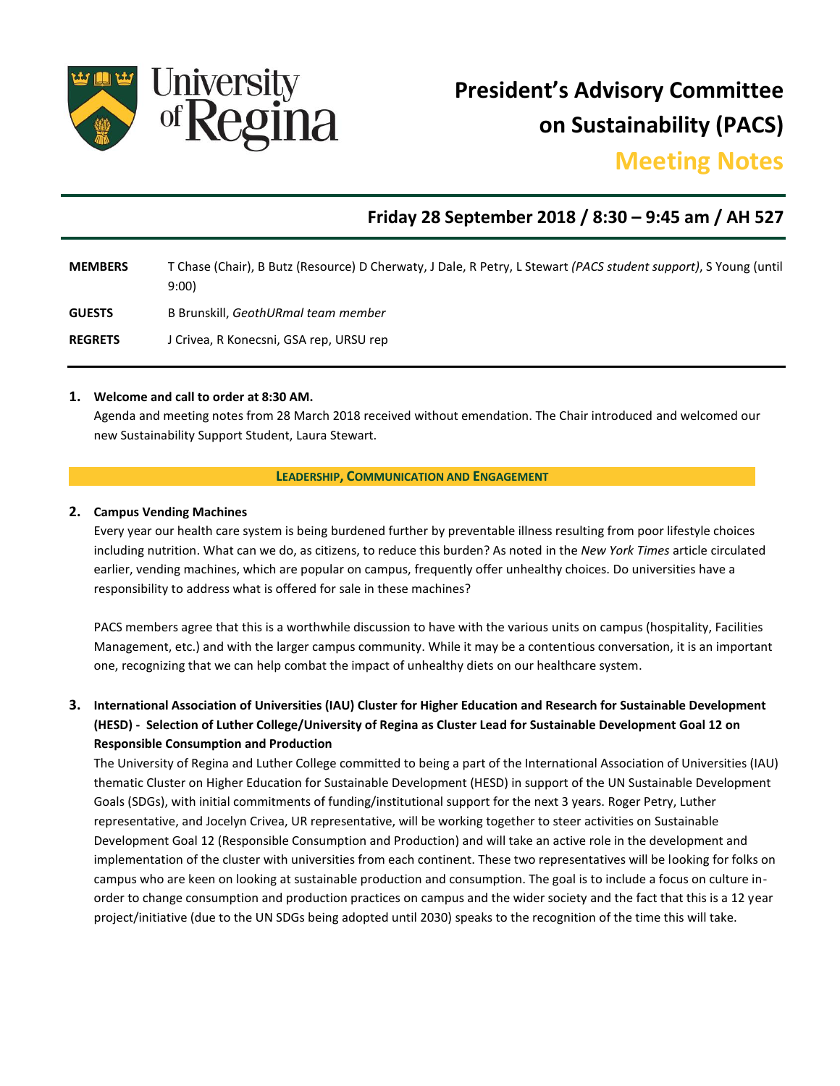

**President's Advisory Committee on Sustainability (PACS)**

# **Meeting Notes**

# **Friday 28 September 2018 / 8:30 – 9:45 am / AH 527**

| <b>MEMBERS</b> | T Chase (Chair), B Butz (Resource) D Cherwaty, J Dale, R Petry, L Stewart (PACS student support), S Young (until |
|----------------|------------------------------------------------------------------------------------------------------------------|
|                | 9:00                                                                                                             |
| <b>GUESTS</b>  | B Brunskill, GeothURmal team member                                                                              |

- 
- **REGRETS** J Crivea, R Konecsni, GSA rep, URSU rep

#### **1. Welcome and call to order at 8:30 AM.**

Agenda and meeting notes from 28 March 2018 received without emendation. The Chair introduced and welcomed our new Sustainability Support Student, Laura Stewart.

#### **LEADERSHIP, COMMUNICATION AND ENGAGEMENT**

#### **2. Campus Vending Machines**

Every year our health care system is being burdened further by preventable illness resulting from poor lifestyle choices including nutrition. What can we do, as citizens, to reduce this burden? As noted in the *New York Times* article circulated earlier, vending machines, which are popular on campus, frequently offer unhealthy choices. Do universities have a responsibility to address what is offered for sale in these machines?

PACS members agree that this is a worthwhile discussion to have with the various units on campus (hospitality, Facilities Management, etc.) and with the larger campus community. While it may be a contentious conversation, it is an important one, recognizing that we can help combat the impact of unhealthy diets on our healthcare system.

## **3. International Association of Universities (IAU) Cluster for Higher Education and Research for Sustainable Development (HESD) - Selection of Luther College/University of Regina as Cluster Lead for Sustainable Development Goal 12 on Responsible Consumption and Production**

The University of Regina and Luther College committed to being a part of the International Association of Universities (IAU) thematic Cluster on Higher Education for Sustainable Development (HESD) in support of the UN Sustainable Development Goals (SDGs), with initial commitments of funding/institutional support for the next 3 years. Roger Petry, Luther representative, and Jocelyn Crivea, UR representative, will be working together to steer activities on Sustainable Development Goal 12 (Responsible Consumption and Production) and will take an active role in the development and implementation of the cluster with universities from each continent. These two representatives will be looking for folks on campus who are keen on looking at sustainable production and consumption. The goal is to include a focus on culture inorder to change consumption and production practices on campus and the wider society and the fact that this is a 12 year project/initiative (due to the UN SDGs being adopted until 2030) speaks to the recognition of the time this will take.